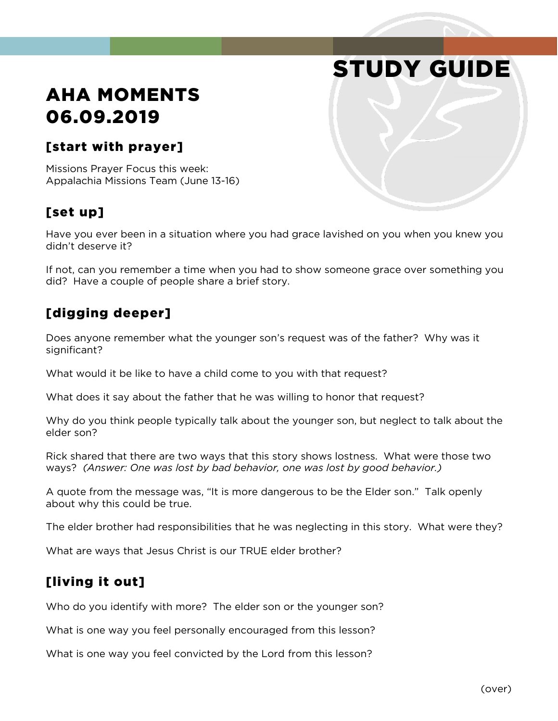# STUDY GUIDE

# AHA MOMENTS 06.09.2019

#### [start with prayer]

Missions Prayer Focus this week: Appalachia Missions Team (June 13-16)

### [set up]

Have you ever been in a situation where you had grace lavished on you when you knew you didn't deserve it?

If not, can you remember a time when you had to show someone grace over something you did? Have a couple of people share a brief story.

#### [digging deeper]

Does anyone remember what the younger son's request was of the father? Why was it significant?

What would it be like to have a child come to you with that request?

What does it say about the father that he was willing to honor that request?

Why do you think people typically talk about the younger son, but neglect to talk about the elder son?

Rick shared that there are two ways that this story shows lostness. What were those two ways? *(Answer: One was lost by bad behavior, one was lost by good behavior.)*

A quote from the message was, "It is more dangerous to be the Elder son." Talk openly about why this could be true.

The elder brother had responsibilities that he was neglecting in this story. What were they?

What are ways that Jesus Christ is our TRUE elder brother?

#### [living it out]

Who do you identify with more? The elder son or the younger son?

What is one way you feel personally encouraged from this lesson?

What is one way you feel convicted by the Lord from this lesson?